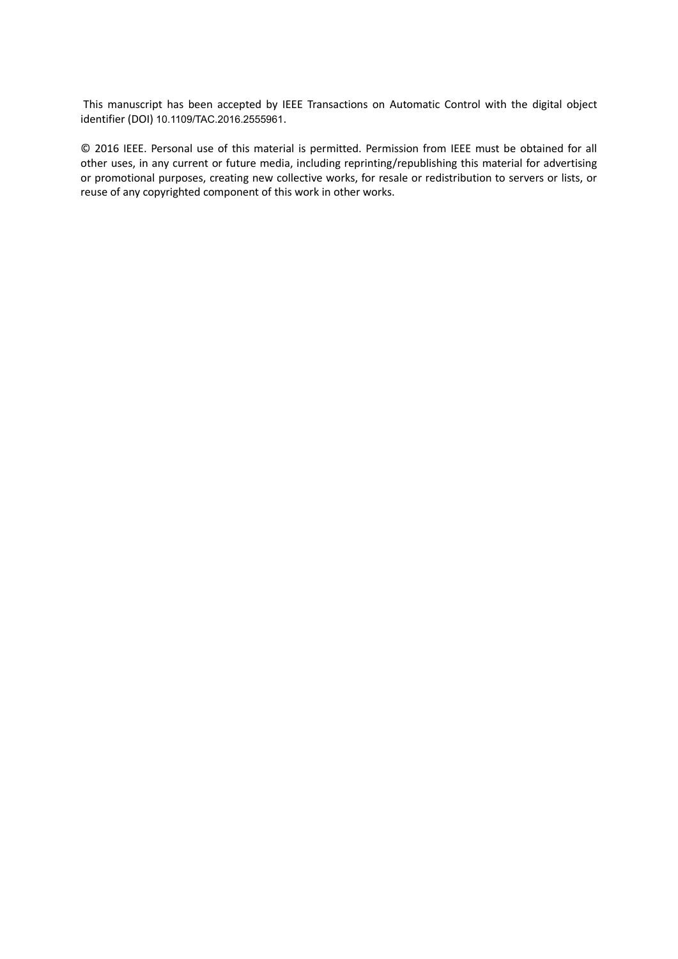This manuscript has been accepted by IEEE Transactions on Automatic Control with the digital object identifier (DOI) 10.1109/TAC.2016.2555961.

© 2016 IEEE. Personal use of this material is permitted. Permission from IEEE must be obtained for all other uses, in any current or future media, including reprinting/republishing this material for advertising or promotional purposes, creating new collective works, for resale or redistribution to servers or lists, or reuse of any copyrighted component of this work in other works.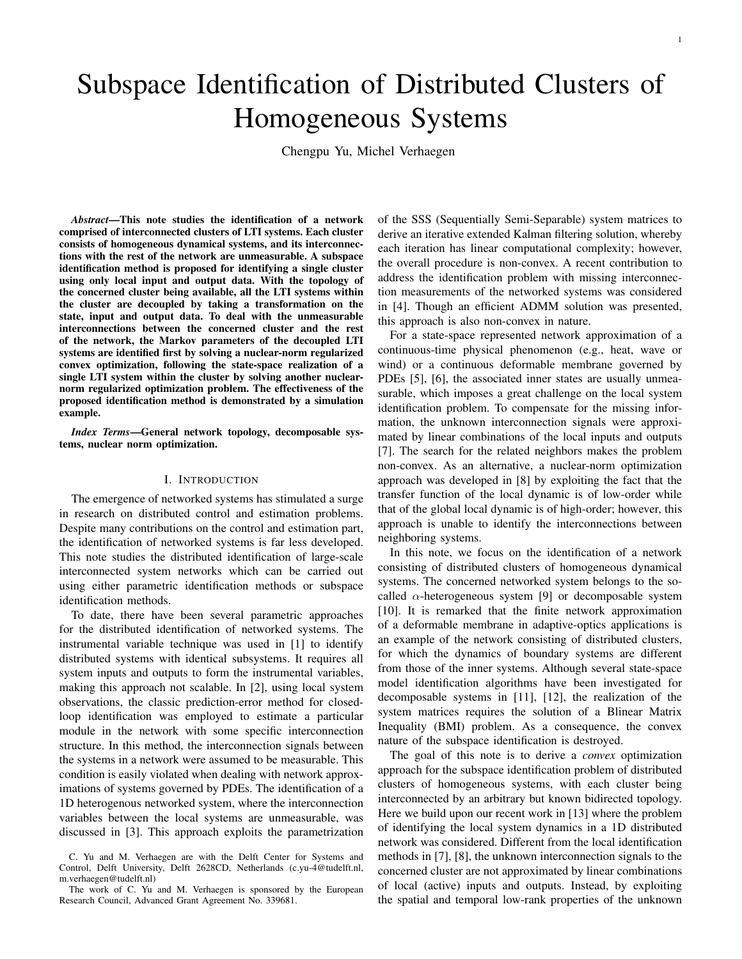# Subspace Identification of Distributed Clusters of Homogeneous Systems

Chengpu Yu, Michel Verhaegen

*Abstract*—This note studies the identification of a network comprised of interconnected clusters of LTI systems. Each cluster consists of homogeneous dynamical systems, and its interconnections with the rest of the network are unmeasurable. A subspace identification method is proposed for identifying a single cluster using only local input and output data. With the topology of the concerned cluster being available, all the LTI systems within the cluster are decoupled by taking a transformation on the state, input and output data. To deal with the unmeasurable interconnections between the concerned cluster and the rest of the network, the Markov parameters of the decoupled LTI systems are identified first by solving a nuclear-norm regularized convex optimization, following the state-space realization of a single LTI system within the cluster by solving another nuclearnorm regularized optimization problem. The effectiveness of the proposed identification method is demonstrated by a simulation example.

*Index Terms*—General network topology, decomposable systems, nuclear norm optimization.

# I. INTRODUCTION

The emergence of networked systems has stimulated a surge in research on distributed control and estimation problems. Despite many contributions on the control and estimation part, the identification of networked systems is far less developed. This note studies the distributed identification of large-scale interconnected system networks which can be carried out using either parametric identification methods or subspace identification methods.

To date, there have been several parametric approaches for the distributed identification of networked systems. The instrumental variable technique was used in [1] to identify distributed systems with identical subsystems. It requires all system inputs and outputs to form the instrumental variables, making this approach not scalable. In [2], using local system observations, the classic prediction-error method for closedloop identification was employed to estimate a particular module in the network with some specific interconnection structure. In this method, the interconnection signals between the systems in a network were assumed to be measurable. This condition is easily violated when dealing with network approximations of systems governed by PDEs. The identification of a 1D heterogenous networked system, where the interconnection variables between the local systems are unmeasurable, was discussed in [3]. This approach exploits the parametrization

of the SSS (Sequentially Semi-Separable) system matrices to derive an iterative extended Kalman filtering solution, whereby each iteration has linear computational complexity; however, the overall procedure is non-convex. A recent contribution to address the identification problem with missing interconnection measurements of the networked systems was considered in [4]. Though an efficient ADMM solution was presented, this approach is also non-convex in nature.

For a state-space represented network approximation of a continuous-time physical phenomenon (e.g., heat, wave or wind) or a continuous deformable membrane governed by PDEs [5], [6], the associated inner states are usually unmeasurable, which imposes a great challenge on the local system identification problem. To compensate for the missing information, the unknown interconnection signals were approximated by linear combinations of the local inputs and outputs [7]. The search for the related neighbors makes the problem non-convex. As an alternative, a nuclear-norm optimization approach was developed in [8] by exploiting the fact that the transfer function of the local dynamic is of low-order while that of the global local dynamic is of high-order; however, this approach is unable to identify the interconnections between neighboring systems.

In this note, we focus on the identification of a network consisting of distributed clusters of homogeneous dynamical systems. The concerned networked system belongs to the socalled  $\alpha$ -heterogeneous system [9] or decomposable system [10]. It is remarked that the finite network approximation of a deformable membrane in adaptive-optics applications is an example of the network consisting of distributed clusters, for which the dynamics of boundary systems are different from those of the inner systems. Although several state-space model identification algorithms have been investigated for decomposable systems in [11], [12], the realization of the system matrices requires the solution of a Blinear Matrix Inequality (BMI) problem. As a consequence, the convex nature of the subspace identification is destroyed.

The goal of this note is to derive a *convex* optimization approach for the subspace identification problem of distributed clusters of homogeneous systems, with each cluster being interconnected by an arbitrary but known bidirected topology. Here we build upon our recent work in [13] where the problem of identifying the local system dynamics in a 1D distributed network was considered. Different from the local identification methods in [7], [8], the unknown interconnection signals to the concerned cluster are not approximated by linear combinations of local (active) inputs and outputs. Instead, by exploiting the spatial and temporal low-rank properties of the unknown

C. Yu and M. Verhaegen are with the Delft Center for Systems and Control, Delft University, Delft 2628CD, Netherlands (c.yu-4@tudelft.nl, m.verhaegen@tudelft.nl)

The work of C. Yu and M. Verhaegen is sponsored by the European Research Council, Advanced Grant Agreement No. 339681.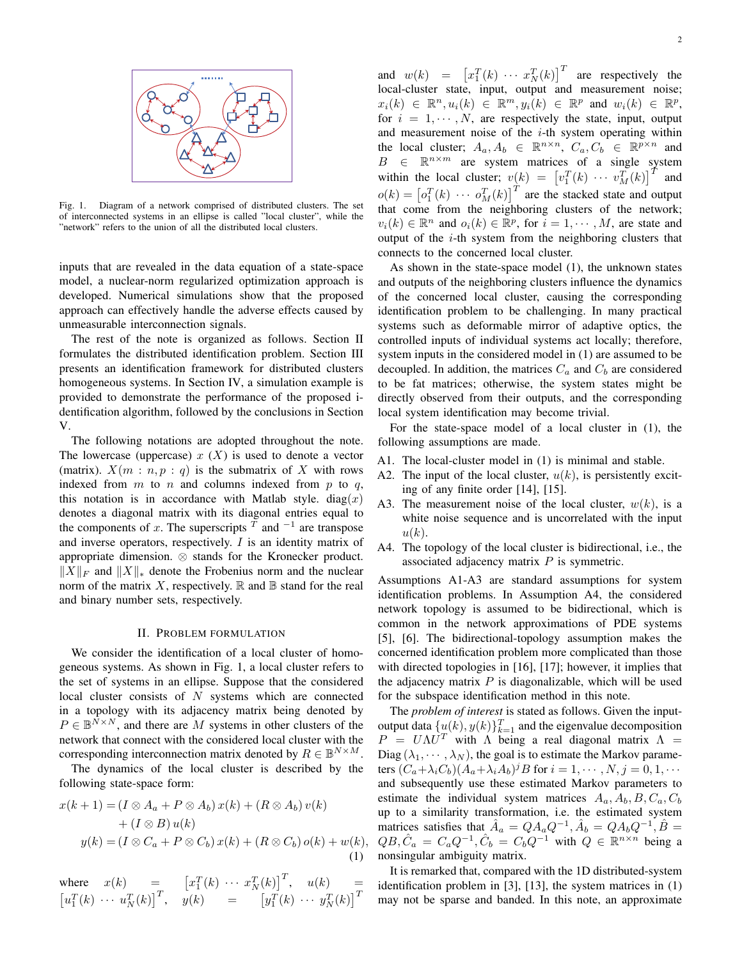

Fig. 1. Diagram of a network comprised of distributed clusters. The set of interconnected systems in an ellipse is called "local cluster", while the "network" refers to the union of all the distributed local clusters.

inputs that are revealed in the data equation of a state-space model, a nuclear-norm regularized optimization approach is developed. Numerical simulations show that the proposed approach can effectively handle the adverse effects caused by unmeasurable interconnection signals.

The rest of the note is organized as follows. Section II formulates the distributed identification problem. Section III presents an identification framework for distributed clusters homogeneous systems. In Section IV, a simulation example is provided to demonstrate the performance of the proposed identification algorithm, followed by the conclusions in Section V.

The following notations are adopted throughout the note. The lowercase (uppercase) *x* (*X*) is used to denote a vector (matrix).  $X(m:n, p: q)$  is the submatrix of X with rows indexed from *m* to *n* and columns indexed from *p* to *q*, this notation is in accordance with Matlab style.  $diag(x)$ denotes a diagonal matrix with its diagonal entries equal to the components of *x*. The superscripts  $^T$  and  $^{-1}$  are transpose and inverse operators, respectively. *I* is an identity matrix of appropriate dimension. *⊗* stands for the Kronecker product. *∥X∥<sup>F</sup>* and *∥X∥<sup>∗</sup>* denote the Frobenius norm and the nuclear norm of the matrix  $X$ , respectively.  $\mathbb R$  and  $\mathbb B$  stand for the real and binary number sets, respectively.

# II. PROBLEM FORMULATION

We consider the identification of a local cluster of homogeneous systems. As shown in Fig. 1, a local cluster refers to the set of systems in an ellipse. Suppose that the considered local cluster consists of *N* systems which are connected in a topology with its adjacency matrix being denoted by  $P \in \mathbb{B}^{N \times N}$ , and there are *M* systems in other clusters of the network that connect with the considered local cluster with the corresponding interconnection matrix denoted by  $R \in \mathbb{B}^{N \times M}$ .

The dynamics of the local cluster is described by the following state-space form:

$$
x(k+1) = (I \otimes A_a + P \otimes A_b) x(k) + (R \otimes A_b) v(k)
$$
  
+ 
$$
(I \otimes B) u(k)
$$
  

$$
y(k) = (I \otimes C_a + P \otimes C_b) x(k) + (R \otimes C_b) o(k) + w(k),
$$
  
(1)

where  $x(k) = \begin{bmatrix} x_1^T(k) & \cdots & x_N^T(k) \end{bmatrix}^T$ ,  $u(k) = \frac{1}{R}$  $\left[ u_1^T(k) \cdots u_N^T(k) \right]^T$ ,  $y(k) = \left[ y_1^T(k) \cdots y_N^T(k) \right]^T$ 

2

and  $w(k) = \left[ x_1^T(k) \cdots x_N^T(k) \right]^T$  are respectively the local-cluster state, input, output and measurement noise;  $x_i(k) \in \mathbb{R}^n, u_i(k) \in \mathbb{R}^m, y_i(k) \in \mathbb{R}^p$  and  $w_i(k) \in \mathbb{R}^p$ , for  $i = 1, \dots, N$ , are respectively the state, input, output and measurement noise of the *i*-th system operating within the local cluster;  $A_a, A_b \in \mathbb{R}^{n \times n}$ ,  $C_a, C_b \in \mathbb{R}^{p \times n}$  and  $B \in \mathbb{R}^{n \times m}$  are system matrices of a single system within the local cluster;  $v(k) = \left[v_1^T(k) \cdots v_M^T(k)\right]^T$  and  $o(k) = [o_1^T(k) \cdots o_M^T(k)]^T$  are the stacked state and output that come from the neighboring clusters of the network;  $v_i(k) \in \mathbb{R}^n$  and  $o_i(k) \in \mathbb{R}^p$ , for  $i = 1, \dots, M$ , are state and output of the *i*-th system from the neighboring clusters that connects to the concerned local cluster.

As shown in the state-space model (1), the unknown states and outputs of the neighboring clusters influence the dynamics of the concerned local cluster, causing the corresponding identification problem to be challenging. In many practical systems such as deformable mirror of adaptive optics, the controlled inputs of individual systems act locally; therefore, system inputs in the considered model in (1) are assumed to be decoupled. In addition, the matrices  $C_a$  and  $C_b$  are considered to be fat matrices; otherwise, the system states might be directly observed from their outputs, and the corresponding local system identification may become trivial.

For the state-space model of a local cluster in (1), the following assumptions are made.

- A1. The local-cluster model in (1) is minimal and stable.
- A2. The input of the local cluster, *u*(*k*), is persistently exciting of any finite order [14], [15].
- A3. The measurement noise of the local cluster, *w*(*k*), is a white noise sequence and is uncorrelated with the input *u*(*k*).
- A4. The topology of the local cluster is bidirectional, i.e., the associated adjacency matrix *P* is symmetric.

Assumptions A1-A3 are standard assumptions for system identification problems. In Assumption A4, the considered network topology is assumed to be bidirectional, which is common in the network approximations of PDE systems [5], [6]. The bidirectional-topology assumption makes the concerned identification problem more complicated than those with directed topologies in [16], [17]; however, it implies that the adjacency matrix *P* is diagonalizable, which will be used for the subspace identification method in this note.

The *problem of interest* is stated as follows. Given the inputoutput data  $\{u(k), y(k)\}_{k=1}^T$  and the eigenvalue decomposition  $P = U \Lambda U^T$  with  $\Lambda$  being a real diagonal matrix  $\Lambda =$ Diag  $(\lambda_1, \dots, \lambda_N)$ , the goal is to estimate the Markov parameters  $(C_a + \lambda_i C_b)(A_a + \lambda_i A_b)^j B$  for  $i = 1, \dots, N, j = 0, 1, \dots$ and subsequently use these estimated Markov parameters to estimate the individual system matrices  $A_a$ ,  $A_b$ ,  $B$ ,  $C_a$ ,  $C_b$ up to a similarity transformation, i.e. the estimated system matrices satisfies that  $\hat{A}_a = QA_aQ^{-1}, \hat{A}_b = QA_bQ^{-1}, \hat{B}$  $QB, \hat{C}_a = C_a Q^{-1}, \hat{C}_b = C_b Q^{-1}$  with  $Q \in \mathbb{R}^{n \times n}$  being a nonsingular ambiguity matrix.

It is remarked that, compared with the 1D distributed-system identification problem in [3], [13], the system matrices in (1) may not be sparse and banded. In this note, an approximate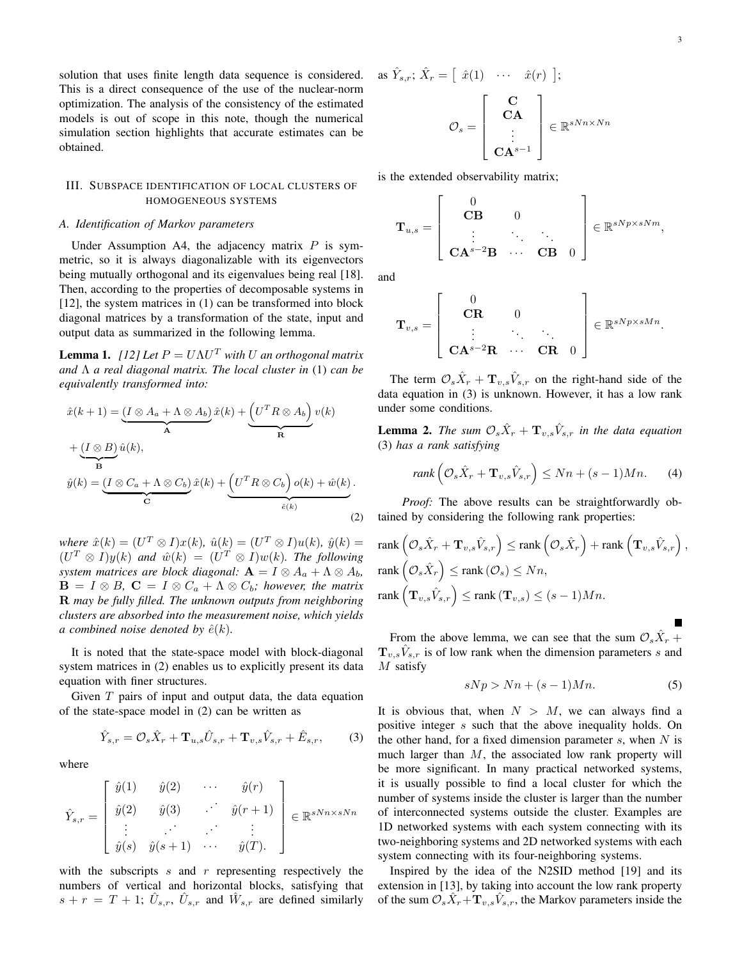solution that uses finite length data sequence is considered. This is a direct consequence of the use of the nuclear-norm optimization. The analysis of the consistency of the estimated models is out of scope in this note, though the numerical simulation section highlights that accurate estimates can be obtained.

# III. SUBSPACE IDENTIFICATION OF LOCAL CLUSTERS OF HOMOGENEOUS SYSTEMS

#### *A. Identification of Markov parameters*

Under Assumption A4, the adjacency matrix *P* is symmetric, so it is always diagonalizable with its eigenvectors being mutually orthogonal and its eigenvalues being real [18]. Then, according to the properties of decomposable systems in [12], the system matrices in (1) can be transformed into block diagonal matrices by a transformation of the state, input and output data as summarized in the following lemma.

**Lemma 1.** *[12]* Let  $P = U\Lambda U^T$  with U an orthogonal matrix *and* Λ *a real diagonal matrix. The local cluster in* (1) *can be equivalently transformed into:*

$$
\hat{x}(k+1) = \underbrace{(I \otimes A_a + \Lambda \otimes A_b)}_{\mathbf{A}} \hat{x}(k) + \underbrace{(U^T R \otimes A_b)}_{\mathbf{R}} v(k)
$$
\n
$$
+ \underbrace{(I \otimes B)}_{\mathbf{B}} \hat{u}(k),
$$
\n
$$
\hat{y}(k) = \underbrace{(I \otimes C_a + \Lambda \otimes C_b)}_{\mathbf{C}} \hat{x}(k) + \underbrace{(U^T R \otimes C_b)}_{\hat{e}(k)} o(k) + \hat{w}(k).
$$
\n(2)

 $where \ \hat{x}(k) = (U^T \otimes I)x(k), \ \hat{u}(k) = (U^T \otimes I)u(k), \ \hat{y}(k) = 0$  $(U^T \otimes I)y(k)$  and  $\hat{w}(k) = (U^T \otimes I)w(k)$ . The following *system matrices are block diagonal:*  $\mathbf{A} = I \otimes A_a + \Lambda \otimes A_b$  $\mathbf{B} = I \otimes B$ ,  $\mathbf{C} = I \otimes C_a + \Lambda \otimes C_b$ ; however, the matrix **R** *may be fully filled. The unknown outputs from neighboring clusters are absorbed into the measurement noise, which yields a* combined noise denoted by  $\hat{e}(k)$ .

It is noted that the state-space model with block-diagonal system matrices in (2) enables us to explicitly present its data equation with finer structures.

Given *T* pairs of input and output data, the data equation of the state-space model in (2) can be written as

$$
\hat{Y}_{s,r} = \mathcal{O}_s \hat{X}_r + \mathbf{T}_{u,s} \hat{U}_{s,r} + \mathbf{T}_{v,s} \hat{V}_{s,r} + \hat{E}_{s,r},
$$
 (3)

where

$$
\hat{Y}_{s,r} = \begin{bmatrix} \hat{y}(1) & \hat{y}(2) & \cdots & \hat{y}(r) \\ \hat{y}(2) & \hat{y}(3) & \ddots & \hat{y}(r+1) \\ \vdots & \ddots & \ddots & \vdots \\ \hat{y}(s) & \hat{y}(s+1) & \cdots & \hat{y}(T) \end{bmatrix} \in \mathbb{R}^{sNn \times sNn}
$$

with the subscripts *s* and *r* representing respectively the numbers of vertical and horizontal blocks, satisfying that  $s + r = T + 1$ ;  $\hat{U}_{s,r}$ ,  $\hat{U}_{s,r}$  and  $\hat{W}_{s,r}$  are defined similarly

as 
$$
\hat{Y}_{s,r}
$$
;  $\hat{X}_r = [\hat{x}(1) \cdots \hat{x}(r) ]$ ;  
\n
$$
\mathcal{O}_s = \begin{bmatrix} \mathbf{C} \\ \mathbf{C} \mathbf{A} \\ \vdots \\ \mathbf{C} \mathbf{A}^{s-1} \end{bmatrix} \in \mathbb{R}^{sNn \times Nn}
$$

is the extended observability matrix;

$$
\mathbf{T}_{u,s} = \left[ \begin{array}{ccc} 0 & & \\ \mathbf{CB} & 0 & \\ \vdots & \ddots & \ddots \\ \mathbf{CA}^{s-2}\mathbf{B} & \cdots & \mathbf{CB} & 0 \end{array} \right] \in \mathbb{R}^{sNp \times sNm},
$$

and

$$
\mathbf{T}_{v,s} = \left[ \begin{array}{ccc} 0 & & \\ \mathbf{CR} & 0 & \\ \vdots & \ddots & \vdots \\ \mathbf{CA}^{s-2}\mathbf{R} & \cdots & \mathbf{CR} & 0 \end{array} \right] \in \mathbb{R}^{sNp \times sMn}.
$$

The term  $\mathcal{O}_s \hat{X}_r + \mathbf{T}_{v,s} \hat{V}_{s,r}$  on the right-hand side of the data equation in (3) is unknown. However, it has a low rank under some conditions.

**Lemma 2.** The sum  $\mathcal{O}_s \hat{X}_r + \mathbf{T}_{v,s} \hat{V}_{s,r}$  in the data equation (3) *has a rank satisfying*

$$
rank\left(\mathcal{O}_s\hat{X}_r + \mathbf{T}_{v,s}\hat{V}_{s,r}\right) \leq Nn + (s-1)Mn. \tag{4}
$$

*Proof:* The above results can be straightforwardly obtained by considering the following rank properties:

$$
\begin{aligned} &\text{rank}\left(\mathcal{O}_{s}\hat{X}_{r}+\mathbf{T}_{v,s}\hat{V}_{s,r}\right)\leq\text{rank}\left(\mathcal{O}_{s}\hat{X}_{r}\right)+\text{rank}\left(\mathbf{T}_{v,s}\hat{V}_{s,r}\right),\\ &\text{rank}\left(\mathcal{O}_{s}\hat{X}_{r}\right)\leq\text{rank}\left(\mathcal{O}_{s}\right)\leq Nn,\\ &\text{rank}\left(\mathbf{T}_{v,s}\hat{V}_{s,r}\right)\leq\text{rank}\left(\mathbf{T}_{v,s}\right)\leq(s-1)Mn.\end{aligned}
$$

From the above lemma, we can see that the sum  $\mathcal{O}_s \hat{X}_r$  +  $\mathbf{T}_{v,s}\hat{V}_{s,r}$  is of low rank when the dimension parameters *s* and *M* satisfy

$$
sNp > Nn + (s-1)Mn.
$$
 (5)

It is obvious that, when  $N > M$ , we can always find a positive integer *s* such that the above inequality holds. On the other hand, for a fixed dimension parameter *s*, when *N* is much larger than *M*, the associated low rank property will be more significant. In many practical networked systems, it is usually possible to find a local cluster for which the number of systems inside the cluster is larger than the number of interconnected systems outside the cluster. Examples are 1D networked systems with each system connecting with its two-neighboring systems and 2D networked systems with each system connecting with its four-neighboring systems.

Inspired by the idea of the N2SID method [19] and its extension in [13], by taking into account the low rank property of the sum  $\mathcal{O}_s \hat{X}_r + \mathbf{T}_{v,s} \hat{V}_{s,r}$ , the Markov parameters inside the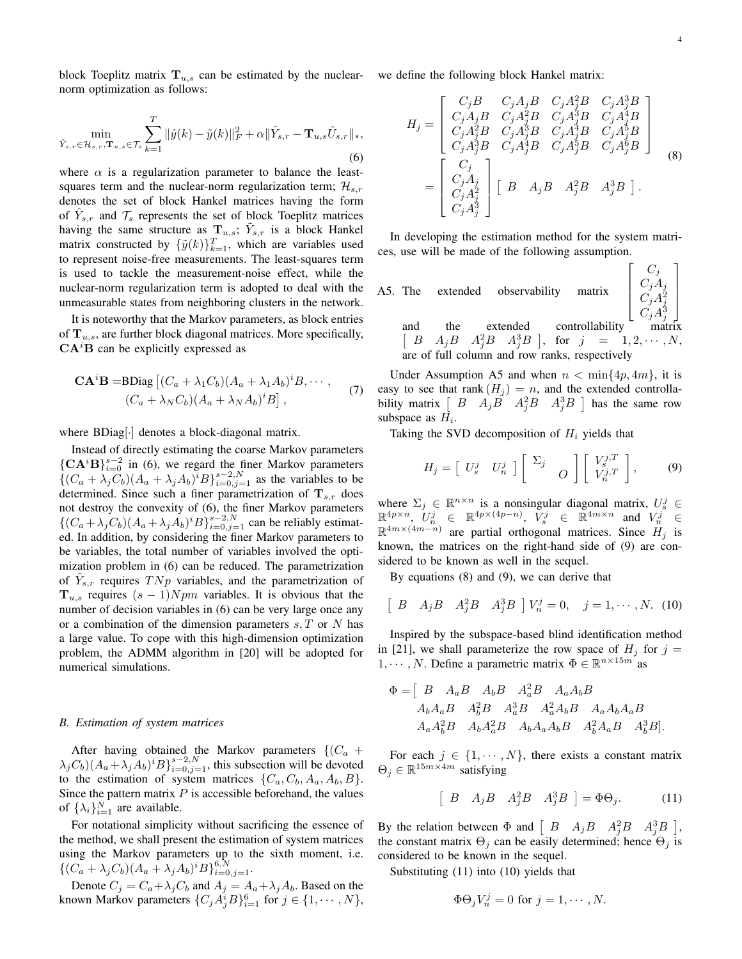$\sqrt{ }$ 

*Cj*  $C_jA_j$  $C_jA_j^2$  1  $\overline{1}$  $\overline{1}$  $\overline{1}$ 

block Toeplitz matrix  $T_{u,s}$  can be estimated by the nuclear- we define the following block Hankel matrix: norm optimization as follows:

$$
\min_{\tilde{Y}_{s,r} \in \mathcal{H}_{s,r}, \mathbf{T}_{u,s} \in \mathcal{T}_{s}} \sum_{k=1}^{T} \|\hat{y}(k) - \tilde{y}(k)\|_{F}^{2} + \alpha \|\tilde{Y}_{s,r} - \mathbf{T}_{u,s}\hat{U}_{s,r}\|_{*},
$$
\n(6)

where  $\alpha$  is a regularization parameter to balance the leastsquares term and the nuclear-norm regularization term; *Hs,r* denotes the set of block Hankel matrices having the form of  $\hat{Y}_{s,r}$  and  $\mathcal{T}_s$  represents the set of block Toeplitz matrices having the same structure as  $\mathbf{T}_{u,s}$ ;  $\tilde{Y}_{s,r}$  is a block Hankel matrix constructed by  $\{\tilde{y}(k)\}_{k=1}^T$ , which are variables used to represent noise-free measurements. The least-squares term is used to tackle the measurement-noise effect, while the nuclear-norm regularization term is adopted to deal with the unmeasurable states from neighboring clusters in the network.

It is noteworthy that the Markov parameters, as block entries of **T***u,s*, are further block diagonal matrices. More specifically, **CA***<sup>i</sup>***B** can be explicitly expressed as

$$
\mathbf{CA}^i\mathbf{B} = \mathbf{BDiag} \left[ (C_a + \lambda_1 C_b)(A_a + \lambda_1 A_b)^i B, \cdots, (C_a + \lambda_N C_b)(A_a + \lambda_N A_b)^i B \right],
$$
 (7)

where BDiag[*·*] denotes a block-diagonal matrix.

Instead of directly estimating the coarse Markov parameters  ${C}$ **A**<sup>*i*</sup>**B** $}$  ${}_{i=0}^{s-2}$  in (6), we regard the finer Markov parameters  $\{(C_a + \lambda_j C_b)(A_a + \lambda_j A_b)^i B\}_{i=0, j=1}^{s-2, N}$  as the variables to be determined. Since such a finer parametrization of  $T_{s,r}$  does not destroy the convexity of (6), the finer Markov parameters  $\{(C_a + \lambda_j C_b)(A_a + \lambda_j A_b)^i B\}_{i=0,j=1}^{s-2,N}$  can be reliably estimated. In addition, by considering the finer Markov parameters to be variables, the total number of variables involved the optimization problem in (6) can be reduced. The parametrization of  $\tilde{Y}_{s,r}$  requires  $T N p$  variables, and the parametrization of  $T_{u,s}$  requires  $(s-1)Npm$  variables. It is obvious that the number of decision variables in  $(6)$  can be very large once any or a combination of the dimension parameters *s, T* or *N* has a large value. To cope with this high-dimension optimization problem, the ADMM algorithm in [20] will be adopted for numerical simulations.

#### *B. Estimation of system matrices*

After having obtained the Markov parameters  $\{(C_a + C_a)\}$  $\lambda_j C_b$ ) $(A_a + \lambda_j A_b)^i B$ <sub>*i*=0*,j*=1</sub>, this subsection will be devoted to the estimation of system matrices  $\{C_a, C_b, A_a, A_b, B\}$ . Since the pattern matrix  $P$  is accessible beforehand, the values of  $\{\lambda_i\}_{i=1}^N$  are available.

For notational simplicity without sacrificing the essence of the method, we shall present the estimation of system matrices using the Markov parameters up to the sixth moment, i.e.  $\{(C_a + \lambda_j C_b)(A_a + \lambda_j A_b)^i B\}_{i=0,j=1}^{6,N}$ .

Denote  $C_j = C_a + \lambda_j C_b$  and  $A_j = A_a + \lambda_j A_b$ . Based on the known Markov parameters  $\{C_j A_j^i B\}_{i=1}^6$  for  $j \in \{1, \dots, N\}$ ,

$$
H_{j} = \begin{bmatrix} C_{j}B & C_{j}A_{j}B & C_{j}A_{j}^{2}B & C_{j}A_{j}^{3}B \\ C_{j}A_{j}B & C_{j}A_{j}^{2}B & C_{j}A_{j}^{3}B & C_{j}A_{j}^{4}B \\ C_{j}A_{j}^{2}B & C_{j}A_{j}^{3}B & C_{j}A_{j}^{4}B & C_{j}A_{j}^{5}B \\ C_{j}A_{j}^{3}B & C_{j}A_{j}^{4}B & C_{j}A_{j}^{5}B & C_{j}A_{j}^{6}B \end{bmatrix}
$$
  
= 
$$
\begin{bmatrix} C_{j} \\ C_{j}A_{j} \\ C_{j}A_{j}^{2} \\ C_{j}A_{j}^{3} \end{bmatrix} \begin{bmatrix} B & A_{j}B & A_{j}^{2}B & A_{j}^{3}B \end{bmatrix}.
$$
 (8)

In developing the estimation method for the system matrices, use will be made of the following assumption.

A5. The extended observability matrix 

 $C_jA_j^3$ *j* and the extended controllability  $\sqrt{2}$  $B \quad A_j B \quad A_j^2 B \quad A_j^3 B$  $1, 2, \cdots, N$ are of full column and row ranks, respectively

Under Assumption A5 and when  $n < \min\{4p, 4m\}$ , it is easy to see that rank  $(H_j) = n$ , and the extended controllability matrix  $\begin{bmatrix} B & A_jB & A_j^2B & A_j^3B \end{bmatrix}$  has the same row subspace as *H<sup>i</sup>* .

Taking the SVD decomposition of *H<sup>i</sup>* yields that

$$
H_j = \begin{bmatrix} U_s^j & U_n^j \end{bmatrix} \begin{bmatrix} \Sigma_j & \\ & O \end{bmatrix} \begin{bmatrix} V_s^{j,T} \\ V_n^{j,T} \end{bmatrix}, \qquad (9)
$$

where  $\Sigma_j \in \mathbb{R}^{n \times n}$  is a nonsingular diagonal matrix,  $U_s^j \in$  $\mathbb{R}^{4p \times n}$ ,  $U_n^j \in \mathbb{R}^{4p \times (4p-n)}$ ,  $V_s^j \in \mathbb{R}^{4m \times n}$  and  $V_n^j \in$ R 4*m×*(4*m−n*) are partial orthogonal matrices. Since *H<sup>j</sup>* is known, the matrices on the right-hand side of (9) are considered to be known as well in the sequel.

By equations (8) and (9), we can derive that

$$
\left[ \begin{array}{cc} B & A_j B & A_j^2 B & A_j^3 B \end{array} \right] V_n^j = 0, \quad j = 1, \cdots, N. \tag{10}
$$

Inspired by the subspace-based blind identification method in [21], we shall parameterize the row space of  $H_i$  for  $j =$ 1,  $\cdots$ , *N*. Define a parametric matrix  $\Phi \in \mathbb{R}^{n \times 15m}$  as

$$
\Phi = \left[ \begin{array}{cccccc} B & A_a B & A_b B & A_a^2 B & A_a A_b B \\ A_b A_a B & A_b^2 B & A_a^3 B & A_a^2 A_b B & A_a A_b A_a B \\ A_a A_b^2 B & A_b A_a^2 B & A_b A_a A_b B & A_b^2 A_a B & A_b^3 B \end{array} \right].
$$

For each  $j \in \{1, \dots, N\}$ , there exists a constant matrix  $\Theta_j \in \mathbb{R}^{15m \times 4m}$  satisfying

$$
\left[\begin{array}{cc} B & A_j B & A_j^2 B & A_j^3 B \end{array}\right] = \Phi \Theta_j. \tag{11}
$$

By the relation between  $\Phi$  and  $\begin{bmatrix} B & A_j B & A_j^2 B & A_j^3 B \end{bmatrix}$ , the constant matrix  $\Theta_j$  can be easily determined; hence  $\Theta_j$  is considered to be known in the sequel.

Substituting (11) into (10) yields that

$$
\Phi \Theta_j V_n^j = 0 \text{ for } j = 1, \cdots, N.
$$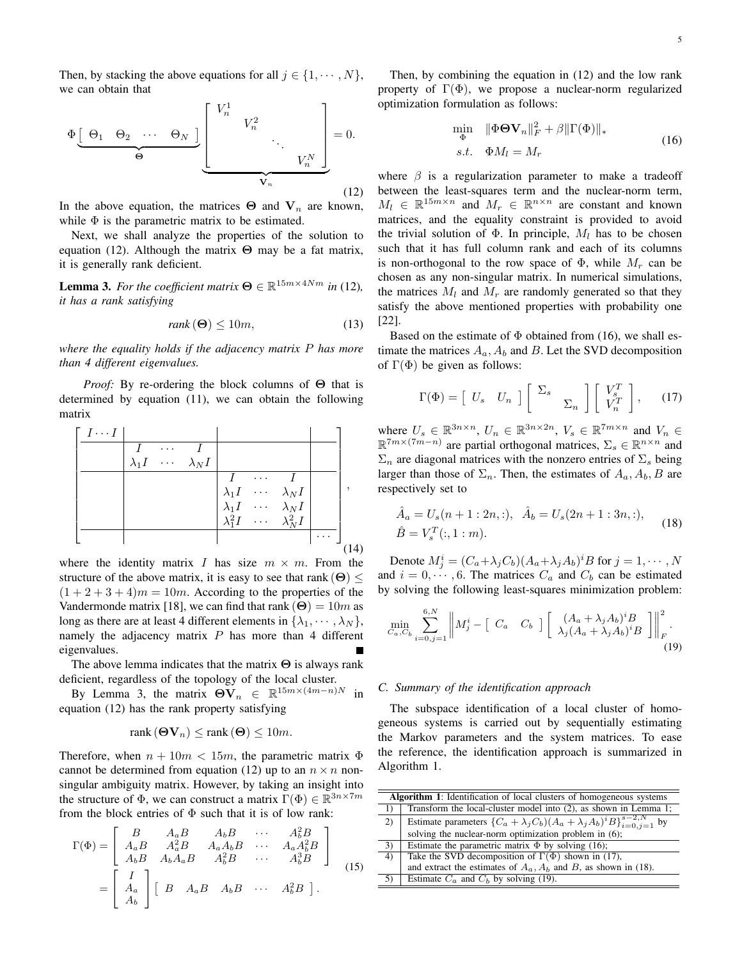Then, by stacking the above equations for all  $j \in \{1, \dots, N\}$ , we can obtain that



In the above equation, the matrices  $\Theta$  and  $V_n$  are known, while  $\Phi$  is the parametric matrix to be estimated.

Next, we shall analyze the properties of the solution to equation (12). Although the matrix **Θ** may be a fat matrix, it is generally rank deficient.

**Lemma 3.** For the coefficient matrix  $\mathbf{\Theta} \in \mathbb{R}^{15m \times 4Nm}$  in (12), *it has a rank satisfying*

$$
rank(\mathbf{\Theta}) \le 10m,\tag{13}
$$

*where the equality holds if the adjacency matrix P has more than 4 different eigenvalues.*

*Proof:* By re-ordering the block columns of **Θ** that is determined by equation (11), we can obtain the following matrix



where the identity matrix *I* has size  $m \times m$ . From the structure of the above matrix, it is easy to see that rank  $(\Theta) \leq$  $(1 + 2 + 3 + 4)m = 10m$ . According to the properties of the Vandermonde matrix [18], we can find that rank  $(\Theta) = 10m$  as long as there are at least 4 different elements in  $\{\lambda_1, \dots, \lambda_N\}$ , namely the adjacency matrix *P* has more than 4 different eigenvalues.

The above lemma indicates that the matrix **Θ** is always rank deficient, regardless of the topology of the local cluster.

By Lemma 3, the matrix  $\Theta V_n \in \mathbb{R}^{15m \times (4m-n)N}$  in equation (12) has the rank property satisfying

$$
rank\left(\mathbf{\Theta V}_{n}\right) \leq rank\left(\mathbf{\Theta}\right) \leq 10m.
$$

Therefore, when  $n + 10m < 15m$ , the parametric matrix  $\Phi$ cannot be determined from equation (12) up to an  $n \times n$  nonsingular ambiguity matrix. However, by taking an insight into the structure of  $\Phi$ , we can construct a matrix  $\Gamma(\Phi) \in \mathbb{R}^{3n \times 7m}$ from the block entries of  $\Phi$  such that it is of low rank:

$$
\Gamma(\Phi) = \begin{bmatrix} B & A_a B & A_b B & \cdots & A_b^2 B \\ A_a B & A_a^2 B & A_a A_b B & \cdots & A_a A_b^2 B \\ A_b B & A_b A_a B & A_b^2 B & \cdots & A_b^3 B \end{bmatrix}
$$

$$
= \begin{bmatrix} I \\ A_a \\ A_b \end{bmatrix} \begin{bmatrix} B & A_a B & A_b B & \cdots & A_b^2 B \end{bmatrix}.
$$
 (15)

Then, by combining the equation in (12) and the low rank property of  $\Gamma(\Phi)$ , we propose a nuclear-norm regularized optimization formulation as follows:

$$
\min_{\Phi} \quad \|\Phi \Theta \mathbf{V}_n\|_F^2 + \beta \|\Gamma(\Phi)\|_*s.t. \quad \Phi M_l = M_r
$$
\n(16)

where  $\beta$  is a regularization parameter to make a tradeoff between the least-squares term and the nuclear-norm term,  $M_l \in \mathbb{R}^{15m \times n}$  and  $M_r \in \mathbb{R}^{n \times n}$  are constant and known matrices, and the equality constraint is provided to avoid the trivial solution of  $\Phi$ . In principle,  $M_l$  has to be chosen such that it has full column rank and each of its columns is non-orthogonal to the row space of  $\Phi$ , while  $M_r$  can be chosen as any non-singular matrix. In numerical simulations, the matrices  $M_l$  and  $M_r$  are randomly generated so that they satisfy the above mentioned properties with probability one [22].

Based on the estimate of  $\Phi$  obtained from (16), we shall estimate the matrices  $A_a$ ,  $A_b$  and  $B$ . Let the SVD decomposition of  $\Gamma(\Phi)$  be given as follows:

$$
\Gamma(\Phi) = \begin{bmatrix} U_s & U_n \end{bmatrix} \begin{bmatrix} \Sigma_s & \\ & \Sigma_n \end{bmatrix} \begin{bmatrix} V_s^T \\ V_n^T \end{bmatrix}, \qquad (17)
$$

where  $U_s \in \mathbb{R}^{3n \times n}$ ,  $U_n \in \mathbb{R}^{3n \times 2n}$ ,  $V_s \in \mathbb{R}^{7m \times n}$  and  $V_n \in$  $\mathbb{R}^{7m \times (7m-n)}$  are partial orthogonal matrices,  $\Sigma_s \in \mathbb{R}^{n \times n}$  and  $\Sigma_n$  are diagonal matrices with the nonzero entries of  $\Sigma_s$  being larger than those of  $\Sigma_n$ . Then, the estimates of  $A_a$ ,  $A_b$ ,  $B$  are respectively set to

$$
\hat{A}_a = U_s(n+1:2n,:), \quad \hat{A}_b = U_s(2n+1:3n,:),
$$
  
\n
$$
\hat{B} = V_s^T(:,1:m).
$$
\n(18)

Denote  $M_j^i = (C_a + \lambda_j C_b)(A_a + \lambda_j A_b)^i B$  for  $j = 1, \dots, N$ and  $i = 0, \dots, 6$ . The matrices  $C_a$  and  $C_b$  can be estimated by solving the following least-squares minimization problem:

$$
\min_{C_a, C_b} \sum_{i=0, j=1}^{6, N} \left\| M_j^i - \left[ C_a \quad C_b \right] \left[ \begin{array}{c} (A_a + \lambda_j A_b)^i B \\ \lambda_j (A_a + \lambda_j A_b)^i B \end{array} \right] \right\|_F^2.
$$
\n(19)

# *C. Summary of the identification approach*

The subspace identification of a local cluster of homogeneous systems is carried out by sequentially estimating the Markov parameters and the system matrices. To ease the reference, the identification approach is summarized in Algorithm 1.

| <b>Algorithm 1:</b> Identification of local clusters of homogeneous systems |                                                                                                               |
|-----------------------------------------------------------------------------|---------------------------------------------------------------------------------------------------------------|
| 1)                                                                          | Transform the local-cluster model into (2), as shown in Lemma 1;                                              |
| (2)                                                                         | Estimate parameters $\{C_a + \lambda_j C_b \} (A_a + \lambda_j A_b)^i \overline{B} \}_{i=0, i=1}^{s-2, N}$ by |
|                                                                             | solving the nuclear-norm optimization problem in (6);                                                         |
| 3)                                                                          | Estimate the parametric matrix $\Phi$ by solving (16);                                                        |
| $\overline{4}$                                                              | Take the SVD decomposition of $\Gamma(\Phi)$ shown in (17),                                                   |
|                                                                             | and extract the estimates of $A_a$ , $A_b$ and B, as shown in (18).                                           |
| 5)                                                                          | Estimate $C_a$ and $C_b$ by solving (19).                                                                     |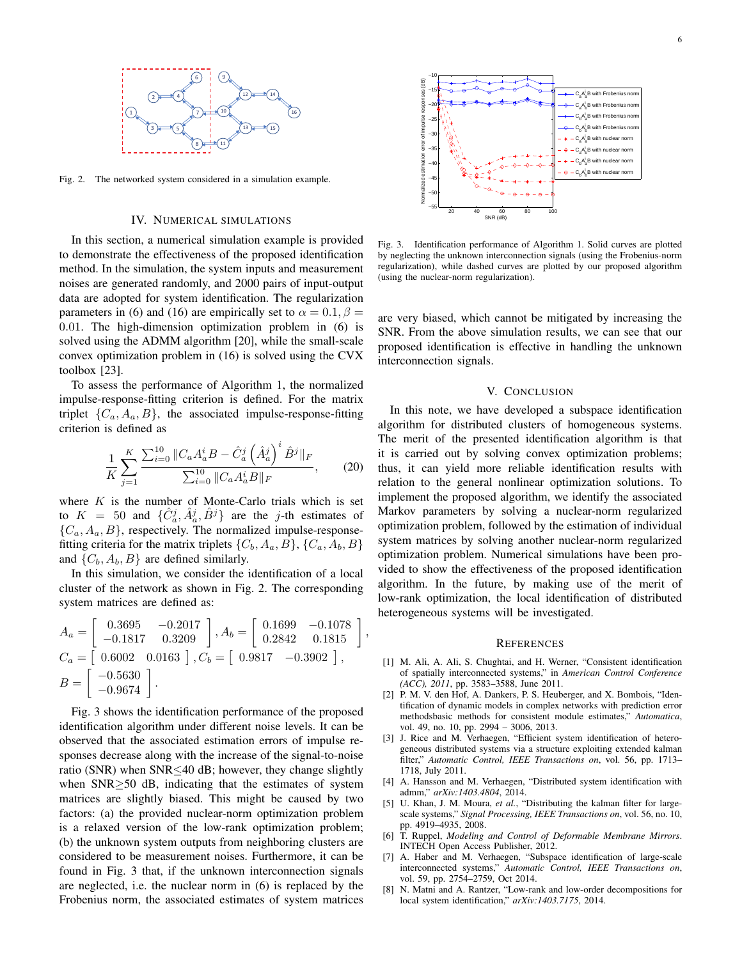

Fig. 2. The networked system considered in a simulation example.

## IV. NUMERICAL SIMULATIONS

In this section, a numerical simulation example is provided to demonstrate the effectiveness of the proposed identification method. In the simulation, the system inputs and measurement noises are generated randomly, and 2000 pairs of input-output data are adopted for system identification. The regularization parameters in (6) and (16) are empirically set to  $\alpha = 0.1$ ,  $\beta =$ 0*.*01. The high-dimension optimization problem in (6) is solved using the ADMM algorithm [20], while the small-scale convex optimization problem in (16) is solved using the CVX toolbox [23].

To assess the performance of Algorithm 1, the normalized impulse-response-fitting criterion is defined. For the matrix triplet  $\{C_a, A_a, B\}$ , the associated impulse-response-fitting criterion is defined as

$$
\frac{1}{K} \sum_{j=1}^{K} \frac{\sum_{i=0}^{10} \|C_a A_a^i B - \hat{C}_a^j \left(\hat{A}_a^j\right)^i \hat{B}^j\|_F}{\sum_{i=0}^{10} \|C_a A_a^i B\|_F},\qquad(20)
$$

where *K* is the number of Monte-Carlo trials which is set to  $K = 50$  and  $\{\hat{C}_a^j, \hat{A}_a^j, \hat{B}^j\}$  are the *j*-th estimates of  ${C_a, A_a, B}$ , respectively. The normalized impulse-responsefitting criteria for the matrix triplets  $\{C_b, A_a, B\}$ ,  $\{C_a, A_b, B\}$ and  $\{C_b, A_b, B\}$  are defined similarly.

In this simulation, we consider the identification of a local cluster of the network as shown in Fig. 2. The corresponding system matrices are defined as:

$$
A_a = \begin{bmatrix} 0.3695 & -0.2017 \\ -0.1817 & 0.3209 \end{bmatrix}, A_b = \begin{bmatrix} 0.1699 & -0.1078 \\ 0.2842 & 0.1815 \end{bmatrix}
$$
  
\n
$$
C_a = \begin{bmatrix} 0.6002 & 0.0163 \end{bmatrix}, C_b = \begin{bmatrix} 0.9817 & -0.3902 \end{bmatrix},
$$
  
\n
$$
B = \begin{bmatrix} -0.5630 \\ -0.9674 \end{bmatrix}.
$$

*,*

Fig. 3 shows the identification performance of the proposed identification algorithm under different noise levels. It can be observed that the associated estimation errors of impulse responses decrease along with the increase of the signal-to-noise ratio (SNR) when SNR*≤*40 dB; however, they change slightly when SNR*≥*50 dB, indicating that the estimates of system matrices are slightly biased. This might be caused by two factors: (a) the provided nuclear-norm optimization problem is a relaxed version of the low-rank optimization problem; (b) the unknown system outputs from neighboring clusters are considered to be measurement noises. Furthermore, it can be found in Fig. 3 that, if the unknown interconnection signals are neglected, i.e. the nuclear norm in (6) is replaced by the Frobenius norm, the associated estimates of system matrices



Fig. 3. Identification performance of Algorithm 1. Solid curves are plotted by neglecting the unknown interconnection signals (using the Frobenius-norm regularization), while dashed curves are plotted by our proposed algorithm (using the nuclear-norm regularization).

are very biased, which cannot be mitigated by increasing the SNR. From the above simulation results, we can see that our proposed identification is effective in handling the unknown interconnection signals.

## V. CONCLUSION

In this note, we have developed a subspace identification algorithm for distributed clusters of homogeneous systems. The merit of the presented identification algorithm is that it is carried out by solving convex optimization problems; thus, it can yield more reliable identification results with relation to the general nonlinear optimization solutions. To implement the proposed algorithm, we identify the associated Markov parameters by solving a nuclear-norm regularized optimization problem, followed by the estimation of individual system matrices by solving another nuclear-norm regularized optimization problem. Numerical simulations have been provided to show the effectiveness of the proposed identification algorithm. In the future, by making use of the merit of low-rank optimization, the local identification of distributed heterogeneous systems will be investigated.

#### **REFERENCES**

- [1] M. Ali, A. Ali, S. Chughtai, and H. Werner, "Consistent identification of spatially interconnected systems," in *American Control Conference (ACC), 2011*, pp. 3583–3588, June 2011.
- [2] P. M. V. den Hof, A. Dankers, P. S. Heuberger, and X. Bombois, "Identification of dynamic models in complex networks with prediction error methodsbasic methods for consistent module estimates," *Automatica*, vol. 49, no. 10, pp. 2994 – 3006, 2013.
- [3] J. Rice and M. Verhaegen, "Efficient system identification of heterogeneous distributed systems via a structure exploiting extended kalman filter," *Automatic Control, IEEE Transactions on*, vol. 56, pp. 1713– 1718, July 2011.
- [4] A. Hansson and M. Verhaegen, "Distributed system identification with admm," *arXiv:1403.4804*, 2014.
- [5] U. Khan, J. M. Moura, *et al.*, "Distributing the kalman filter for largescale systems," *Signal Processing, IEEE Transactions on*, vol. 56, no. 10, pp. 4919–4935, 2008.
- [6] T. Ruppel, *Modeling and Control of Deformable Membrane Mirrors*. INTECH Open Access Publisher, 2012.
- [7] A. Haber and M. Verhaegen, "Subspace identification of large-scale interconnected systems," *Automatic Control, IEEE Transactions on*, vol. 59, pp. 2754–2759, Oct 2014.
- [8] N. Matni and A. Rantzer, "Low-rank and low-order decompositions for local system identification," *arXiv:1403.7175*, 2014.